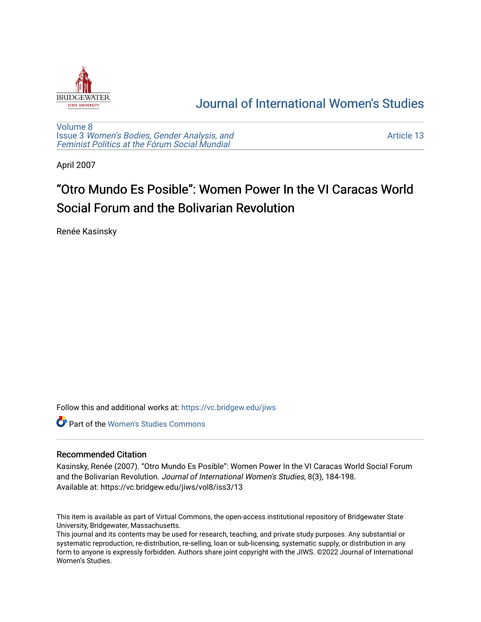

## [Journal of International Women's Studies](https://vc.bridgew.edu/jiws)

[Volume 8](https://vc.bridgew.edu/jiws/vol8) Issue 3 [Women's Bodies, Gender Analysis, and](https://vc.bridgew.edu/jiws/vol8/iss3) [Feminist Politics at the Fórum Social Mundial](https://vc.bridgew.edu/jiws/vol8/iss3)

[Article 13](https://vc.bridgew.edu/jiws/vol8/iss3/13) 

April 2007

# "Otro Mundo Es Posible": Women Power In the VI Caracas World Social Forum and the Bolivarian Revolution

Renée Kasinsky

Follow this and additional works at: [https://vc.bridgew.edu/jiws](https://vc.bridgew.edu/jiws?utm_source=vc.bridgew.edu%2Fjiws%2Fvol8%2Fiss3%2F13&utm_medium=PDF&utm_campaign=PDFCoverPages)

**C** Part of the Women's Studies Commons

#### Recommended Citation

Kasinsky, Renée (2007). "Otro Mundo Es Posible": Women Power In the VI Caracas World Social Forum and the Bolivarian Revolution. Journal of International Women's Studies, 8(3), 184-198. Available at: https://vc.bridgew.edu/jiws/vol8/iss3/13

This item is available as part of Virtual Commons, the open-access institutional repository of Bridgewater State University, Bridgewater, Massachusetts.

This journal and its contents may be used for research, teaching, and private study purposes. Any substantial or systematic reproduction, re-distribution, re-selling, loan or sub-licensing, systematic supply, or distribution in any form to anyone is expressly forbidden. Authors share joint copyright with the JIWS. ©2022 Journal of International Women's Studies.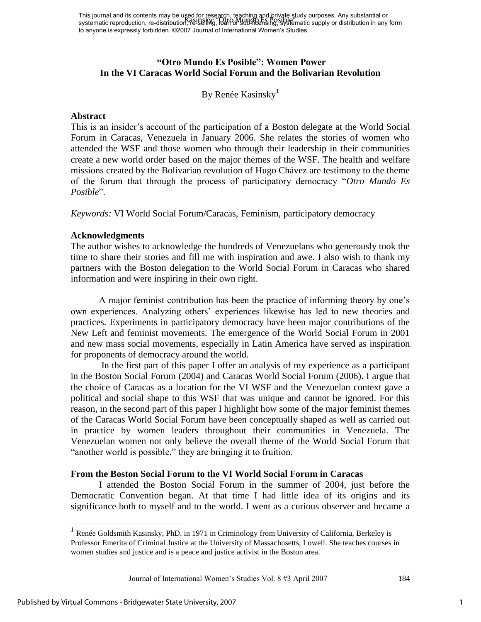This journal and its contents may be used for research, teaching and private study purposes. Any substantial or systematic reproduction, re-distribution, የ<del>2</del>!-selling, idaHor sub-licensing, systematic supply or distribution in any form to anyone is expressly forbidden. ©2007 Journal of International Women's Studies. Kasinsky: "Otro Mundo Es Posible"

## **"Otro Mundo Es Posible": Women Power In the VI Caracas World Social Forum and the Bolivarian Revolution**

By Renée Kasinsky<sup>1</sup>

#### **Abstract**

This is an insider"s account of the participation of a Boston delegate at the World Social Forum in Caracas, Venezuela in January 2006. She relates the stories of women who attended the WSF and those women who through their leadership in their communities create a new world order based on the major themes of the WSF. The health and welfare missions created by the Bolivarian revolution of Hugo Chávez are testimony to the theme of the forum that through the process of participatory democracy "*Otro Mundo Es Posible*".

*Keywords:* VI World Social Forum/Caracas, Feminism, participatory democracy

## **Acknowledgments**

The author wishes to acknowledge the hundreds of Venezuelans who generously took the time to share their stories and fill me with inspiration and awe. I also wish to thank my partners with the Boston delegation to the World Social Forum in Caracas who shared information and were inspiring in their own right.

A major feminist contribution has been the practice of informing theory by one"s own experiences. Analyzing others" experiences likewise has led to new theories and practices. Experiments in participatory democracy have been major contributions of the New Left and feminist movements. The emergence of the World Social Forum in 2001 and new mass social movements, especially in Latin America have served as inspiration for proponents of democracy around the world.

 In the first part of this paper I offer an analysis of my experience as a participant in the Boston Social Forum (2004) and Caracas World Social Forum (2006). I argue that the choice of Caracas as a location for the VI WSF and the Venezuelan context gave a political and social shape to this WSF that was unique and cannot be ignored. For this reason, in the second part of this paper I highlight how some of the major feminist themes of the Caracas World Social Forum have been conceptually shaped as well as carried out in practice by women leaders throughout their communities in Venezuela. The Venezuelan women not only believe the overall theme of the World Social Forum that "another world is possible," they are bringing it to fruition.

#### **From the Boston Social Forum to the VI World Social Forum in Caracas**

I attended the Boston Social Forum in the summer of 2004, just before the Democratic Convention began. At that time I had little idea of its origins and its significance both to myself and to the world. I went as a curious observer and became a

<sup>&</sup>lt;sup>1</sup> Renée Goldsmith Kasinsky, PhD. in 1971 in Criminology from University of California, Berkeley is Professor Emerita of Criminal Justice at the University of Massachusetts, Lowell. She teaches courses in women studies and justice and is a peace and justice activist in the Boston area.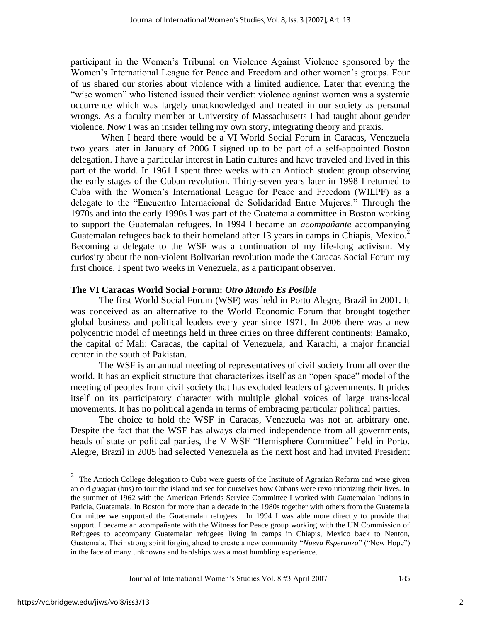participant in the Women"s Tribunal on Violence Against Violence sponsored by the Women"s International League for Peace and Freedom and other women"s groups. Four of us shared our stories about violence with a limited audience. Later that evening the "wise women" who listened issued their verdict: violence against women was a systemic occurrence which was largely unacknowledged and treated in our society as personal wrongs. As a faculty member at University of Massachusetts I had taught about gender violence. Now I was an insider telling my own story, integrating theory and praxis.

When I heard there would be a VI World Social Forum in Caracas, Venezuela two years later in January of 2006 I signed up to be part of a self-appointed Boston delegation. I have a particular interest in Latin cultures and have traveled and lived in this part of the world. In 1961 I spent three weeks with an Antioch student group observing the early stages of the Cuban revolution. Thirty-seven years later in 1998 I returned to Cuba with the Women"s International League for Peace and Freedom (WILPF) as a delegate to the "Encuentro Internacional de Solidaridad Entre Mujeres." Through the 1970s and into the early 1990s I was part of the Guatemala committee in Boston working to support the Guatemalan refugees. In 1994 I became an *acompañante* accompanying Guatemalan refugees back to their homeland after 13 years in camps in Chiapis, Mexico.<sup>2</sup> Becoming a delegate to the WSF was a continuation of my life-long activism. My curiosity about the non-violent Bolivarian revolution made the Caracas Social Forum my first choice. I spent two weeks in Venezuela, as a participant observer.

#### **The VI Caracas World Social Forum:** *Otro Mundo Es Posible*

The first World Social Forum (WSF) was held in Porto Alegre, Brazil in 2001. It was conceived as an alternative to the World Economic Forum that brought together global business and political leaders every year since 1971. In 2006 there was a new polycentric model of meetings held in three cities on three different continents: Bamako, the capital of Mali: Caracas, the capital of Venezuela; and Karachi, a major financial center in the south of Pakistan.

The WSF is an annual meeting of representatives of civil society from all over the world. It has an explicit structure that characterizes itself as an "open space" model of the meeting of peoples from civil society that has excluded leaders of governments. It prides itself on its participatory character with multiple global voices of large trans-local movements. It has no political agenda in terms of embracing particular political parties.

The choice to hold the WSF in Caracas, Venezuela was not an arbitrary one. Despite the fact that the WSF has always claimed independence from all governments, heads of state or political parties, the V WSF "Hemisphere Committee" held in Porto, Alegre, Brazil in 2005 had selected Venezuela as the next host and had invited President

<sup>&</sup>lt;sup>2</sup> The Antioch College delegation to Cuba were guests of the Institute of Agrarian Reform and were given an old *guagua* (bus) to tour the island and see for ourselves how Cubans were revolutionizing their lives. In the summer of 1962 with the American Friends Service Committee I worked with Guatemalan Indians in Paticia, Guatemala. In Boston for more than a decade in the 1980s together with others from the Guatemala Committee we supported the Guatemalan refugees. In 1994 I was able more directly to provide that support. I became an acompañante with the Witness for Peace group working with the UN Commission of Refugees to accompany Guatemalan refugees living in camps in Chiapis, Mexico back to Nenton, Guatemala. Their strong spirit forging ahead to create a new community "*Nueva Esperanza*" ("New Hope") in the face of many unknowns and hardships was a most humbling experience.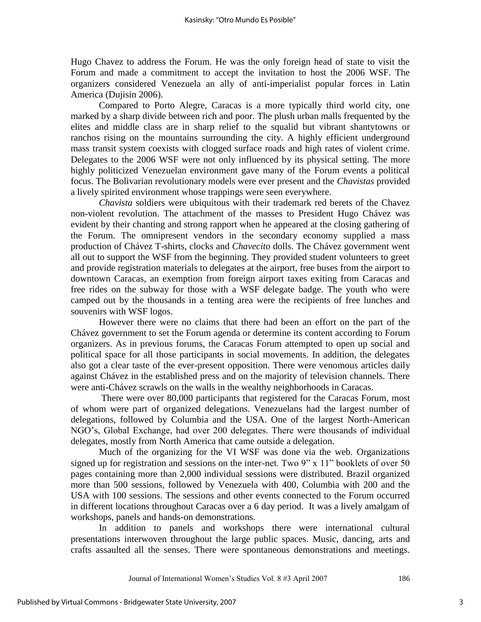Hugo Chavez to address the Forum. He was the only foreign head of state to visit the Forum and made a commitment to accept the invitation to host the 2006 WSF. The organizers considered Venezuela an ally of anti-imperialist popular forces in Latin America (Dujisin 2006).

Compared to Porto Alegre, Caracas is a more typically third world city, one marked by a sharp divide between rich and poor. The plush urban malls frequented by the elites and middle class are in sharp relief to the squalid but vibrant shantytowns or ranchos rising on the mountains surrounding the city. A highly efficient underground mass transit system coexists with clogged surface roads and high rates of violent crime. Delegates to the 2006 WSF were not only influenced by its physical setting. The more highly politicized Venezuelan environment gave many of the Forum events a political focus. The Bolivarian revolutionary models were ever present and the *Chavistas* provided a lively spirited environment whose trappings were seen everywhere.

*Chavista* soldiers were ubiquitous with their trademark red berets of the Chavez non-violent revolution. The attachment of the masses to President Hugo Chávez was evident by their chanting and strong rapport when he appeared at the closing gathering of the Forum. The omnipresent vendors in the secondary economy supplied a mass production of Chávez T-shirts, clocks and *Chavecito* dolls. The Chávez government went all out to support the WSF from the beginning. They provided student volunteers to greet and provide registration materials to delegates at the airport, free buses from the airport to downtown Caracas, an exemption from foreign airport taxes exiting from Caracas and free rides on the subway for those with a WSF delegate badge. The youth who were camped out by the thousands in a tenting area were the recipients of free lunches and souvenirs with WSF logos.

However there were no claims that there had been an effort on the part of the Chávez government to set the Forum agenda or determine its content according to Forum organizers. As in previous forums, the Caracas Forum attempted to open up social and political space for all those participants in social movements. In addition, the delegates also got a clear taste of the ever-present opposition. There were venomous articles daily against Chávez in the established press and on the majority of television channels. There were anti-Chávez scrawls on the walls in the wealthy neighborhoods in Caracas.

 There were over 80,000 participants that registered for the Caracas Forum, most of whom were part of organized delegations. Venezuelans had the largest number of delegations, followed by Columbia and the USA. One of the largest North-American NGO"s, Global Exchange, had over 200 delegates. There were thousands of individual delegates, mostly from North America that came outside a delegation.

Much of the organizing for the VI WSF was done via the web. Organizations signed up for registration and sessions on the inter-net. Two 9" x 11" booklets of over 50 pages containing more than 2,000 individual sessions were distributed. Brazil organized more than 500 sessions, followed by Venezuela with 400, Columbia with 200 and the USA with 100 sessions. The sessions and other events connected to the Forum occurred in different locations throughout Caracas over a 6 day period. It was a lively amalgam of workshops, panels and hands-on demonstrations.

In addition to panels and workshops there were international cultural presentations interwoven throughout the large public spaces. Music, dancing, arts and crafts assaulted all the senses. There were spontaneous demonstrations and meetings.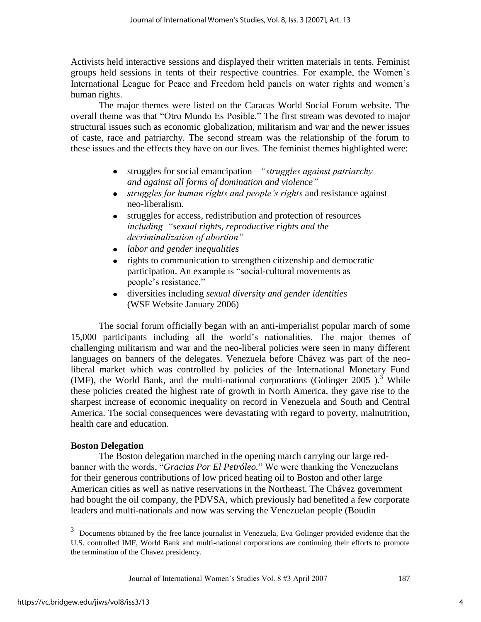Activists held interactive sessions and displayed their written materials in tents. Feminist groups held sessions in tents of their respective countries. For example, the Women"s International League for Peace and Freedom held panels on water rights and women"s human rights.

The major themes were listed on the Caracas World Social Forum website. The overall theme was that "Otro Mundo Es Posible." The first stream was devoted to major structural issues such as economic globalization, militarism and war and the newer issues of caste, race and patriarchy. The second stream was the relationship of the forum to these issues and the effects they have on our lives. The feminist themes highlighted were:

- struggles for social emancipation*—"struggles against patriarchy and against all forms of domination and violence"*
- *struggles for human rights and people's rights* and resistance against neo-liberalism.
- struggles for access, redistribution and protection of resources  $\bullet$ *including "sexual rights, reproductive rights and the decriminalization of abortion"*
- *labor and gender inequalities*   $\bullet$
- rights to communication to strengthen citizenship and democratic  $\bullet$ participation. An example is "social-cultural movements as people"s resistance."
- diversities including *sexual diversity and gender identities* (WSF Website January 2006)

The social forum officially began with an anti-imperialist popular march of some 15,000 participants including all the world"s nationalities. The major themes of challenging militarism and war and the neo-liberal policies were seen in many different languages on banners of the delegates. Venezuela before Chávez was part of the neoliberal market which was controlled by policies of the International Monetary Fund (IMF), the World Bank, and the multi-national corporations (Golinger 2005).<sup>3</sup> While these policies created the highest rate of growth in North America, they gave rise to the sharpest increase of economic inequality on record in Venezuela and South and Central America. The social consequences were devastating with regard to poverty, malnutrition, health care and education.

## **Boston Delegation**

The Boston delegation marched in the opening march carrying our large redbanner with the words, "*Gracias Por El Petróleo.*" We were thanking the Venezuelans for their generous contributions of low priced heating oil to Boston and other large American cities as well as native reservations in the Northeast. The Chávez government had bought the oil company, the PDVSA, which previously had benefited a few corporate leaders and multi-nationals and now was serving the Venezuelan people (Boudin

<sup>&</sup>lt;sup>3</sup> Documents obtained by the free lance journalist in Venezuela, Eva Golinger provided evidence that the U.S. controlled IMF, World Bank and multi-national corporations are continuing their efforts to promote the termination of the Chavez presidency.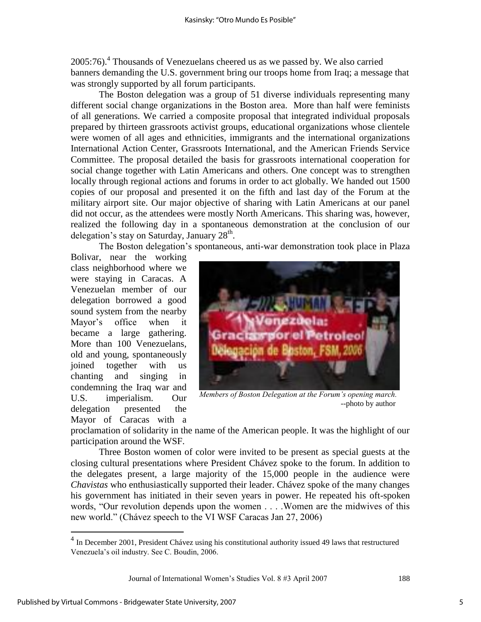2005:76).<sup>4</sup> Thousands of Venezuelans cheered us as we passed by. We also carried banners demanding the U.S. government bring our troops home from Iraq; a message that was strongly supported by all forum participants.

 The Boston delegation was a group of 51 diverse individuals representing many different social change organizations in the Boston area. More than half were feminists of all generations. We carried a composite proposal that integrated individual proposals prepared by thirteen grassroots activist groups, educational organizations whose clientele were women of all ages and ethnicities, immigrants and the international organizations International Action Center, Grassroots International, and the American Friends Service Committee. The proposal detailed the basis for grassroots international cooperation for social change together with Latin Americans and others. One concept was to strengthen locally through regional actions and forums in order to act globally. We handed out 1500 copies of our proposal and presented it on the fifth and last day of the Forum at the military airport site. Our major objective of sharing with Latin Americans at our panel did not occur, as the attendees were mostly North Americans. This sharing was, however, realized the following day in a spontaneous demonstration at the conclusion of our delegation's stay on Saturday, January  $28<sup>th</sup>$ .

The Boston delegation"s spontaneous, anti-war demonstration took place in Plaza

Bolivar, near the working class neighborhood where we were staying in Caracas. A Venezuelan member of our delegation borrowed a good sound system from the nearby Mayor"s office when it became a large gathering. More than 100 Venezuelans, old and young, spontaneously joined together with us chanting and singing in condemning the Iraq war and U.S. imperialism. Our delegation presented the Mayor of Caracas with a



*Members of Boston Delegation at the Forum's opening march.* --photo by author

proclamation of solidarity in the name of the American people. It was the highlight of our participation around the WSF.

Three Boston women of color were invited to be present as special guests at the closing cultural presentations where President Chávez spoke to the forum. In addition to the delegates present, a large majority of the 15,000 people in the audience were *Chavistas* who enthusiastically supported their leader. Chávez spoke of the many changes his government has initiated in their seven years in power. He repeated his oft-spoken words, "Our revolution depends upon the women . . . . Women are the midwives of this new world." (Chávez speech to the VI WSF Caracas Jan 27, 2006)

Journal of International Women"s Studies Vol. 8 #3 April 2007 188

<sup>&</sup>lt;sup>4</sup> In December 2001, President Chávez using his constitutional authority issued 49 laws that restructured Venezuela"s oil industry. See C. Boudin, 2006.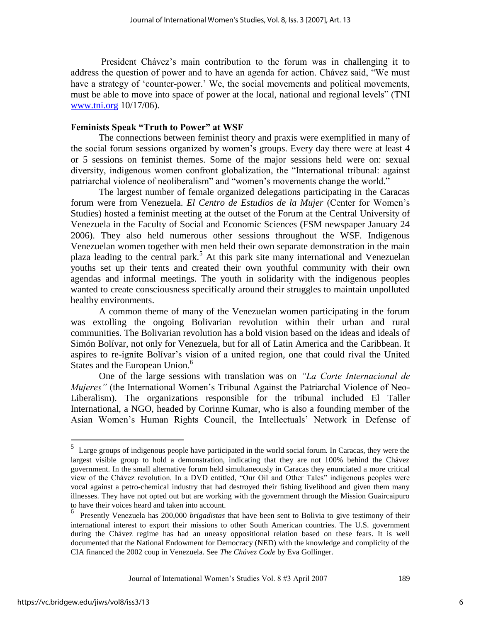President Chávez"s main contribution to the forum was in challenging it to address the question of power and to have an agenda for action. Chávez said, "We must have a strategy of 'counter-power.' We, the social movements and political movements, must be able to move into space of power at the local, national and regional levels" (TNI [www.tni.org](http://www.tni.org/) 10/17/06).

#### **Feminists Speak "Truth to Power" at WSF**

The connections between feminist theory and praxis were exemplified in many of the social forum sessions organized by women"s groups. Every day there were at least 4 or 5 sessions on feminist themes. Some of the major sessions held were on: sexual diversity, indigenous women confront globalization, the "International tribunal: against patriarchal violence of neoliberalism" and "women"s movements change the world."

The largest number of female organized delegations participating in the Caracas forum were from Venezuela. *El Centro de Estudios de la Mujer* (Center for Women"s Studies) hosted a feminist meeting at the outset of the Forum at the Central University of Venezuela in the Faculty of Social and Economic Sciences (FSM newspaper January 24 2006). They also held numerous other sessions throughout the WSF. Indigenous Venezuelan women together with men held their own separate demonstration in the main plaza leading to the central park.<sup>5</sup> At this park site many international and Venezuelan youths set up their tents and created their own youthful community with their own agendas and informal meetings. The youth in solidarity with the indigenous peoples wanted to create consciousness specifically around their struggles to maintain unpolluted healthy environments.

A common theme of many of the Venezuelan women participating in the forum was extolling the ongoing Bolivarian revolution within their urban and rural communities. The Bolivarian revolution has a bold vision based on the ideas and ideals of Simón Bolívar, not only for Venezuela, but for all of Latin America and the Caribbean. It aspires to re-ignite Bolívar"s vision of a united region, one that could rival the United States and the European Union.<sup>6</sup>

One of the large sessions with translation was on *"La Corte Internacional de Mujeres*" (the International Women's Tribunal Against the Patriarchal Violence of Neo-Liberalism). The organizations responsible for the tribunal included El Taller International, a NGO, headed by Corinne Kumar, who is also a founding member of the Asian Women"s Human Rights Council, the Intellectuals" Network in Defense of

<sup>&</sup>lt;sup>5</sup> Large groups of indigenous people have participated in the world social forum. In Caracas, they were the largest visible group to hold a demonstration, indicating that they are not 100% behind the Chávez government. In the small alternative forum held simultaneously in Caracas they enunciated a more critical view of the Chávez revolution. In a DVD entitled, "Our Oil and Other Tales" indigenous peoples were vocal against a petro-chemical industry that had destroyed their fishing livelihood and given them many illnesses. They have not opted out but are working with the government through the Mission Guaircaipuro to have their voices heard and taken into account.

<sup>6</sup> Presently Venezuela has 200,000 *brigadistas* that have been sent to Bolivia to give testimony of their international interest to export their missions to other South American countries. The U.S. government during the Chávez regime has had an uneasy oppositional relation based on these fears. It is well documented that the National Endowment for Democracy (NED) with the knowledge and complicity of the CIA financed the 2002 coup in Venezuela. See *The Chávez Code* by Eva Gollinger.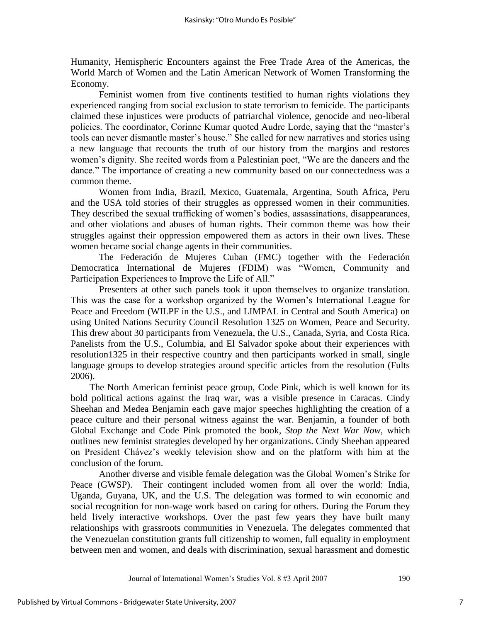Humanity, Hemispheric Encounters against the Free Trade Area of the Americas, the World March of Women and the Latin American Network of Women Transforming the Economy.

Feminist women from five continents testified to human rights violations they experienced ranging from social exclusion to state terrorism to femicide. The participants claimed these injustices were products of patriarchal violence, genocide and neo-liberal policies. The coordinator, Corinne Kumar quoted Audre Lorde, saying that the "master"s tools can never dismantle master's house." She called for new narratives and stories using a new language that recounts the truth of our history from the margins and restores women"s dignity. She recited words from a Palestinian poet, "We are the dancers and the dance." The importance of creating a new community based on our connectedness was a common theme.

Women from India, Brazil, Mexico, Guatemala, Argentina, South Africa, Peru and the USA told stories of their struggles as oppressed women in their communities. They described the sexual trafficking of women"s bodies, assassinations, disappearances, and other violations and abuses of human rights. Their common theme was how their struggles against their oppression empowered them as actors in their own lives. These women became social change agents in their communities.

The Federación de Mujeres Cuban (FMC) together with the Federación Democratica International de Mujeres (FDIM) was "Women, Community and Participation Experiences to Improve the Life of All."

Presenters at other such panels took it upon themselves to organize translation. This was the case for a workshop organized by the Women"s International League for Peace and Freedom (WILPF in the U.S., and LIMPAL in Central and South America) on using United Nations Security Council Resolution 1325 on Women, Peace and Security. This drew about 30 participants from Venezuela, the U.S., Canada, Syria, and Costa Rica. Panelists from the U.S., Columbia, and El Salvador spoke about their experiences with resolution1325 in their respective country and then participants worked in small, single language groups to develop strategies around specific articles from the resolution (Fults 2006).

 The North American feminist peace group, Code Pink, which is well known for its bold political actions against the Iraq war, was a visible presence in Caracas. Cindy Sheehan and Medea Benjamin each gave major speeches highlighting the creation of a peace culture and their personal witness against the war. Benjamin, a founder of both Global Exchange and Code Pink promoted the book*, Stop the Next War Now,* which outlines new feminist strategies developed by her organizations. Cindy Sheehan appeared on President Chávez"s weekly television show and on the platform with him at the conclusion of the forum.

Another diverse and visible female delegation was the Global Women"s Strike for Peace (GWSP). Their contingent included women from all over the world: India, Uganda, Guyana, UK, and the U.S. The delegation was formed to win economic and social recognition for non-wage work based on caring for others. During the Forum they held lively interactive workshops. Over the past few years they have built many relationships with grassroots communities in Venezuela. The delegates commented that the Venezuelan constitution grants full citizenship to women, full equality in employment between men and women, and deals with discrimination, sexual harassment and domestic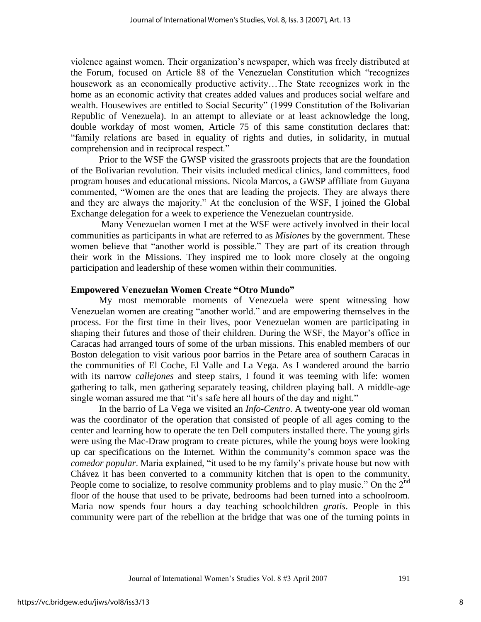violence against women. Their organization"s newspaper, which was freely distributed at the Forum, focused on Article 88 of the Venezuelan Constitution which "recognizes housework as an economically productive activity...The State recognizes work in the home as an economic activity that creates added values and produces social welfare and wealth. Housewives are entitled to Social Security" (1999 Constitution of the Bolivarian Republic of Venezuela). In an attempt to alleviate or at least acknowledge the long, double workday of most women, Article 75 of this same constitution declares that: "family relations are based in equality of rights and duties, in solidarity, in mutual comprehension and in reciprocal respect."

Prior to the WSF the GWSP visited the grassroots projects that are the foundation of the Bolivarian revolution. Their visits included medical clinics, land committees, food program houses and educational missions. Nicola Marcos, a GWSP affiliate from Guyana commented, "Women are the ones that are leading the projects. They are always there and they are always the majority." At the conclusion of the WSF, I joined the Global Exchange delegation for a week to experience the Venezuelan countryside.

 Many Venezuelan women I met at the WSF were actively involved in their local communities as participants in what are referred to as *Misiones* by the government. These women believe that "another world is possible." They are part of its creation through their work in the Missions. They inspired me to look more closely at the ongoing participation and leadership of these women within their communities.

#### **Empowered Venezuelan Women Create "Otro Mundo"**

 My most memorable moments of Venezuela were spent witnessing how Venezuelan women are creating "another world." and are empowering themselves in the process. For the first time in their lives, poor Venezuelan women are participating in shaping their futures and those of their children. During the WSF, the Mayor's office in Caracas had arranged tours of some of the urban missions. This enabled members of our Boston delegation to visit various poor barrios in the Petare area of southern Caracas in the communities of El Coche, El Valle and La Vega. As I wandered around the barrio with its narrow *callejones* and steep stairs, I found it was teeming with life: women gathering to talk, men gathering separately teasing, children playing ball. A middle-age single woman assured me that "it's safe here all hours of the day and night."

In the barrio of La Vega we visited an *Info-Centro*. A twenty-one year old woman was the coordinator of the operation that consisted of people of all ages coming to the center and learning how to operate the ten Dell computers installed there. The young girls were using the Mac-Draw program to create pictures, while the young boys were looking up car specifications on the Internet. Within the community"s common space was the *comedor popular*. Maria explained, "it used to be my family"s private house but now with Chávez it has been converted to a community kitchen that is open to the community. People come to socialize, to resolve community problems and to play music." On the 2<sup>nd</sup> floor of the house that used to be private, bedrooms had been turned into a schoolroom. Maria now spends four hours a day teaching schoolchildren *gratis*. People in this community were part of the rebellion at the bridge that was one of the turning points in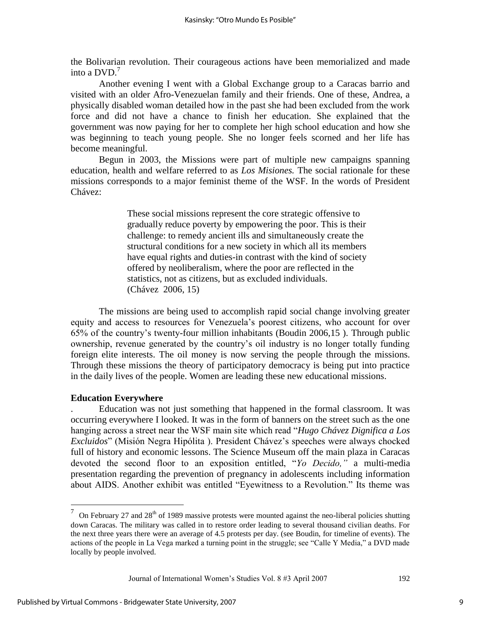the Bolivarian revolution. Their courageous actions have been memorialized and made into a  $DVD$ <sup>7</sup>

 Another evening I went with a Global Exchange group to a Caracas barrio and visited with an older Afro-Venezuelan family and their friends. One of these, Andrea, a physically disabled woman detailed how in the past she had been excluded from the work force and did not have a chance to finish her education. She explained that the government was now paying for her to complete her high school education and how she was beginning to teach young people. She no longer feels scorned and her life has become meaningful.

Begun in 2003, the Missions were part of multiple new campaigns spanning education, health and welfare referred to as *Los Misiones.* The social rationale for these missions corresponds to a major feminist theme of the WSF. In the words of President Chávez:

> These social missions represent the core strategic offensive to gradually reduce poverty by empowering the poor. This is their challenge: to remedy ancient ills and simultaneously create the structural conditions for a new society in which all its members have equal rights and duties-in contrast with the kind of society offered by neoliberalism, where the poor are reflected in the statistics, not as citizens, but as excluded individuals. (Chávez 2006, 15)

The missions are being used to accomplish rapid social change involving greater equity and access to resources for Venezuela"s poorest citizens, who account for over 65% of the country"s twenty-four million inhabitants (Boudin 2006,15 ). Through public ownership, revenue generated by the country"s oil industry is no longer totally funding foreign elite interests. The oil money is now serving the people through the missions. Through these missions the theory of participatory democracy is being put into practice in the daily lives of the people. Women are leading these new educational missions.

## **Education Everywhere**

 $\overline{a}$ 

. Education was not just something that happened in the formal classroom. It was occurring everywhere I looked. It was in the form of banners on the street such as the one hanging across a street near the WSF main site which read "*Hugo Chávez Dignifica a Los Excluidos*" (Misión Negra Hipólita ). President Chávez"s speeches were always chocked full of history and economic lessons. The Science Museum off the main plaza in Caracas devoted the second floor to an exposition entitled, "*Yo Decido,"* a multi-media presentation regarding the prevention of pregnancy in adolescents including information about AIDS. Another exhibit was entitled "Eyewitness to a Revolution." Its theme was

 $7$  On February 27 and 28<sup>th</sup> of 1989 massive protests were mounted against the neo-liberal policies shutting down Caracas. The military was called in to restore order leading to several thousand civilian deaths. For the next three years there were an average of 4.5 protests per day. (see Boudin, for timeline of events). The actions of the people in La Vega marked a turning point in the struggle; see "Calle Y Media," a DVD made locally by people involved.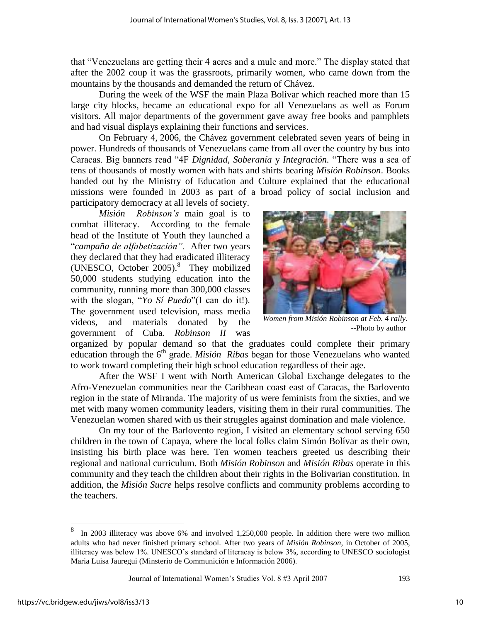that "Venezuelans are getting their 4 acres and a mule and more." The display stated that after the 2002 coup it was the grassroots, primarily women, who came down from the mountains by the thousands and demanded the return of Chávez.

During the week of the WSF the main Plaza Bolivar which reached more than 15 large city blocks, became an educational expo for all Venezuelans as well as Forum visitors. All major departments of the government gave away free books and pamphlets and had visual displays explaining their functions and services.

On February 4, 2006, the Chávez government celebrated seven years of being in power. Hundreds of thousands of Venezuelans came from all over the country by bus into Caracas. Big banners read "4F *Dignidad, Soberanía* y *Integración.* "There was a sea of tens of thousands of mostly women with hats and shirts bearing *Misión Robinson*. Books handed out by the Ministry of Education and Culture explained that the educational missions were founded in 2003 as part of a broad policy of social inclusion and participatory democracy at all levels of society.

*Misión Robinson's* main goal is to combat illiteracy. According to the female head of the Institute of Youth they launched a "*campaña de alfabetización".* After two years they declared that they had eradicated illiteracy (UNESCO, October 2005).<sup>8</sup> They mobilized 50,000 students studying education into the community, running more than 300,000 classes with the slogan, "*Yo Sí Puedo*"(I can do it!). The government used television, mass media videos, and materials donated by the government of Cuba. *Robinson II* was



*Women from Misión Robinson at Feb. 4 rally.* --Photo by author

organized by popular demand so that the graduates could complete their primary education through the 6<sup>th</sup> grade. *Misión Ribas* began for those Venezuelans who wanted to work toward completing their high school education regardless of their age.

After the WSF I went with North American Global Exchange delegates to the Afro-Venezuelan communities near the Caribbean coast east of Caracas, the Barlovento region in the state of Miranda. The majority of us were feminists from the sixties, and we met with many women community leaders, visiting them in their rural communities. The Venezuelan women shared with us their struggles against domination and male violence.

On my tour of the Barlovento region, I visited an elementary school serving 650 children in the town of Capaya, where the local folks claim Simón Bolívar as their own, insisting his birth place was here. Ten women teachers greeted us describing their regional and national curriculum. Both *Misión Robinson* and *Misión Ribas* operate in this community and they teach the children about their rights in the Bolivarian constitution. In addition, the *Misión Sucre* helps resolve conflicts and community problems according to the teachers.

<sup>8</sup> In 2003 illiteracy was above 6% and involved 1,250,000 people. In addition there were two million adults who had never finished primary school. After two years of *Misión Robinson,* in October of 2005, illiteracy was below 1%. UNESCO"s standard of literacay is below 3%, according to UNESCO sociologist Maria Luisa Jauregui (Minsterio de Communición e Información 2006).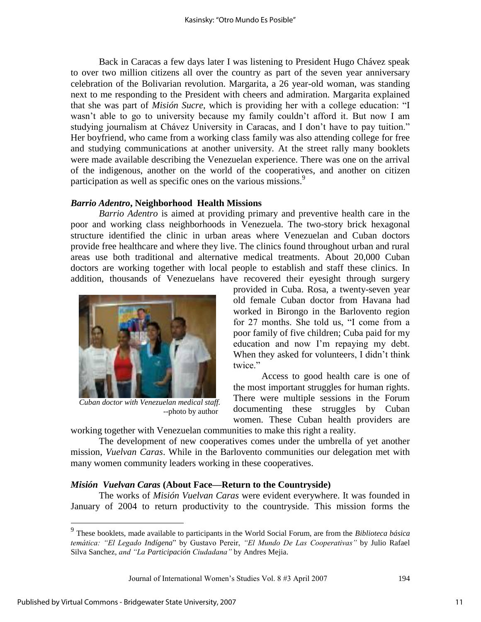Back in Caracas a few days later I was listening to President Hugo Chávez speak to over two million citizens all over the country as part of the seven year anniversary celebration of the Bolivarian revolution. Margarita, a 26 year-old woman, was standing next to me responding to the President with cheers and admiration. Margarita explained that she was part of *Misión Sucre*, which is providing her with a college education: "I wasn't able to go to university because my family couldn't afford it. But now I am studying journalism at Chávez University in Caracas, and I don't have to pay tuition." Her boyfriend, who came from a working class family was also attending college for free and studying communications at another university. At the street rally many booklets were made available describing the Venezuelan experience. There was one on the arrival of the indigenous, another on the world of the cooperatives, and another on citizen participation as well as specific ones on the various missions.<sup>9</sup>

## *Barrio Adentro***, Neighborhood Health Missions**

*Barrio Adentro* is aimed at providing primary and preventive health care in the poor and working class neighborhoods in Venezuela. The two-story brick hexagonal structure identified the clinic in urban areas where Venezuelan and Cuban doctors provide free healthcare and where they live. The clinics found throughout urban and rural areas use both traditional and alternative medical treatments. About 20,000 Cuban doctors are working together with local people to establish and staff these clinics. In addition, thousands of Venezuelans have recovered their eyesight through surgery



*Cuban doctor with Venezuelan medical staff.* --photo by author

provided in Cuba. Rosa, a twenty-seven year old female Cuban doctor from Havana had worked in Birongo in the Barlovento region for 27 months. She told us, "I come from a poor family of five children; Cuba paid for my education and now I"m repaying my debt. When they asked for volunteers, I didn't think twice."

Access to good health care is one of the most important struggles for human rights. There were multiple sessions in the Forum documenting these struggles by Cuban women. These Cuban health providers are

working together with Venezuelan communities to make this right a reality.

The development of new cooperatives comes under the umbrella of yet another mission, *Vuelvan Caras*. While in the Barlovento communities our delegation met with many women community leaders working in these cooperatives.

## *Misión Vuelvan Caras* **(About Face—Return to the Countryside)**

The works of *Misión Vuelvan Caras* were evident everywhere. It was founded in January of 2004 to return productivity to the countryside. This mission forms the

 9 These booklets, made available to participants in the World Social Forum, are from the *Biblioteca básica temática: "El Legado Indígena*" by Gustavo Pereir, *"El Mundo De Las Cooperativas"* by Julio Rafael Silva Sanchez, *and "La Participación Ciudadana"* by Andres Mejia.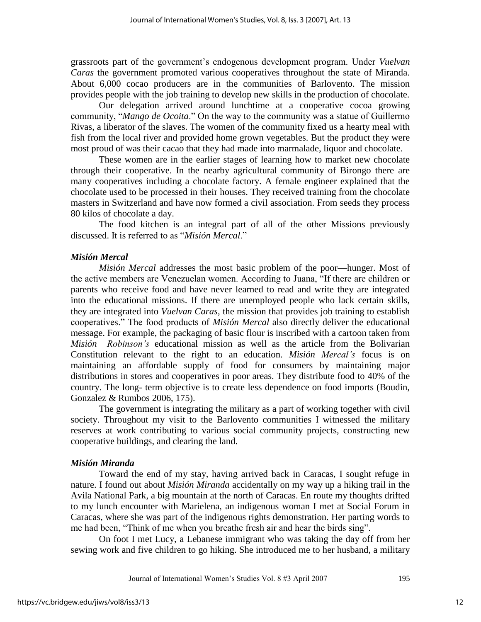grassroots part of the government"s endogenous development program. Under *Vuelvan Caras* the government promoted various cooperatives throughout the state of Miranda. About 6,000 cocao producers are in the communities of Barlovento. The mission provides people with the job training to develop new skills in the production of chocolate.

Our delegation arrived around lunchtime at a cooperative cocoa growing community, "*Mango de Ocoita*." On the way to the community was a statue of Guillermo Rivas, a liberator of the slaves. The women of the community fixed us a hearty meal with fish from the local river and provided home grown vegetables. But the product they were most proud of was their cacao that they had made into marmalade, liquor and chocolate.

These women are in the earlier stages of learning how to market new chocolate through their cooperative. In the nearby agricultural community of Birongo there are many cooperatives including a chocolate factory. A female engineer explained that the chocolate used to be processed in their houses. They received training from the chocolate masters in Switzerland and have now formed a civil association. From seeds they process 80 kilos of chocolate a day.

 The food kitchen is an integral part of all of the other Missions previously discussed. It is referred to as "*Misión Mercal*."

#### *Misión Mercal*

*Misión Mercal* addresses the most basic problem of the poor—hunger. Most of the active members are Venezuelan women. According to Juana, "If there are children or parents who receive food and have never learned to read and write they are integrated into the educational missions. If there are unemployed people who lack certain skills, they are integrated into *Vuelvan Caras*, the mission that provides job training to establish cooperatives." The food products of *Misión Mercal* also directly deliver the educational message. For example, the packaging of basic flour is inscribed with a cartoon taken from *Misión Robinson's* educational mission as well as the article from the Bolivarian Constitution relevant to the right to an education. *Misión Mercal's* focus is on maintaining an affordable supply of food for consumers by maintaining major distributions in stores and cooperatives in poor areas. They distribute food to 40% of the country. The long- term objective is to create less dependence on food imports (Boudin, Gonzalez & Rumbos 2006, 175).

The government is integrating the military as a part of working together with civil society. Throughout my visit to the Barlovento communities I witnessed the military reserves at work contributing to various social community projects, constructing new cooperative buildings, and clearing the land.

#### *Misión Miranda*

Toward the end of my stay, having arrived back in Caracas, I sought refuge in nature. I found out about *Misión Miranda* accidentally on my way up a hiking trail in the Avila National Park, a big mountain at the north of Caracas. En route my thoughts drifted to my lunch encounter with Marielena, an indigenous woman I met at Social Forum in Caracas, where she was part of the indigenous rights demonstration. Her parting words to me had been, "Think of me when you breathe fresh air and hear the birds sing".

On foot I met Lucy, a Lebanese immigrant who was taking the day off from her sewing work and five children to go hiking. She introduced me to her husband, a military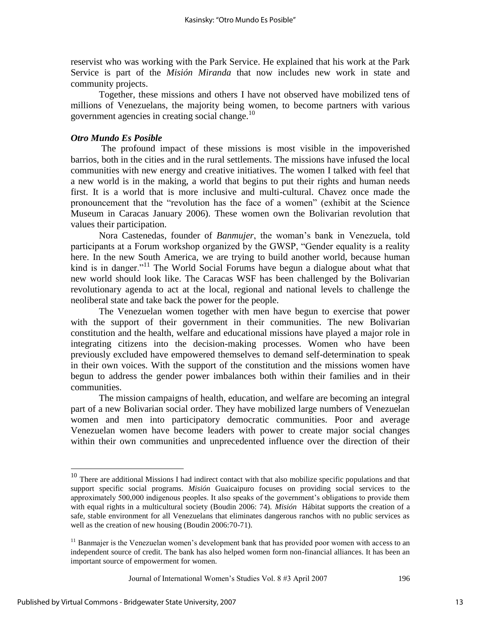reservist who was working with the Park Service. He explained that his work at the Park Service is part of the *Misión Miranda* that now includes new work in state and community projects.

 Together, these missions and others I have not observed have mobilized tens of millions of Venezuelans, the majority being women, to become partners with various government agencies in creating social change.<sup>10</sup>

## *Otro Mundo Es Posible*

The profound impact of these missions is most visible in the impoverished barrios, both in the cities and in the rural settlements. The missions have infused the local communities with new energy and creative initiatives. The women I talked with feel that a new world is in the making, a world that begins to put their rights and human needs first. It is a world that is more inclusive and multi-cultural. Chavez once made the pronouncement that the "revolution has the face of a women" (exhibit at the Science Museum in Caracas January 2006). These women own the Bolivarian revolution that values their participation.

Nora Castenedas, founder of *Banmujer*, the woman"s bank in Venezuela, told participants at a Forum workshop organized by the GWSP, "Gender equality is a reality here. In the new South America, we are trying to build another world, because human kind is in danger."<sup>11</sup> The World Social Forums have begun a dialogue about what that new world should look like. The Caracas WSF has been challenged by the Bolivarian revolutionary agenda to act at the local, regional and national levels to challenge the neoliberal state and take back the power for the people.

The Venezuelan women together with men have begun to exercise that power with the support of their government in their communities. The new Bolivarian constitution and the health, welfare and educational missions have played a major role in integrating citizens into the decision-making processes. Women who have been previously excluded have empowered themselves to demand self-determination to speak in their own voices. With the support of the constitution and the missions women have begun to address the gender power imbalances both within their families and in their communities.

The mission campaigns of health, education, and welfare are becoming an integral part of a new Bolivarian social order. They have mobilized large numbers of Venezuelan women and men into participatory democratic communities. Poor and average Venezuelan women have become leaders with power to create major social changes within their own communities and unprecedented influence over the direction of their

Journal of International Women's Studies Vol. 8 #3 April 2007 196

 $10$  There are additional Missions I had indirect contact with that also mobilize specific populations and that support specific social programs. *Misión* Guaicaipuro focuses on providing social services to the approximately 500,000 indigenous peoples. It also speaks of the government"s obligations to provide them with equal rights in a multicultural society (Boudin 2006: 74). *Misión* Hábitat supports the creation of a safe, stable environment for all Venezuelans that eliminates dangerous ranchos with no public services as well as the creation of new housing (Boudin 2006:70-71).

<sup>&</sup>lt;sup>11</sup> Banmajer is the Venezuelan women's development bank that has provided poor women with access to an independent source of credit. The bank has also helped women form non-financial alliances. It has been an important source of empowerment for women.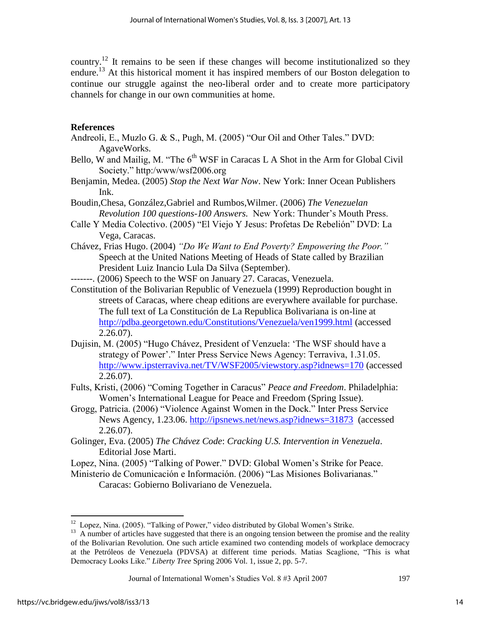country.<sup>12</sup> It remains to be seen if these changes will become institutionalized so they endure.<sup>13</sup> At this historical moment it has inspired members of our Boston delegation to continue our struggle against the neo-liberal order and to create more participatory channels for change in our own communities at home.

## **References**

- Andreoli, E., Muzlo G. & S., Pugh, M. (2005) "Our Oil and Other Tales." DVD: AgaveWorks.
- Bello, W and Mailig, M. "The  $6<sup>th</sup> WSF$  in Caracas L A Shot in the Arm for Global Civil Society." http:/www/wsf2006.org
- Benjamin, Medea. (2005) *Stop the Next War Now*. New York: Inner Ocean Publishers Ink.
- Boudin,Chesa, González,Gabriel and Rumbos,Wilmer. (2006) *The Venezuelan Revolution 100 questions-100 Answers.* New York: Thunder"s Mouth Press.
- Calle Y Media Colectivo. (2005) "El Viejo Y Jesus: Profetas De Rebelión" DVD: La Vega, Caracas.
- Chávez, Frias Hugo. (2004) *"Do We Want to End Poverty? Empowering the Poor."* Speech at the United Nations Meeting of Heads of State called by Brazilian President Luiz Inancio Lula Da Silva (September).
- -------. (2006) Speech to the WSF on January 27. Caracas, Venezuela.
- Constitution of the Bolivarian Republic of Venezuela (1999) Reproduction bought in streets of Caracas, where cheap editions are everywhere available for purchase. The full text of La Constitución de La Republica Bolivariana is on-line at <http://pdba.georgetown.edu/Constitutions/Venezuela/ven1999.html> (accessed 2.26.07).
- Dujisin, M. (2005) "Hugo Chávez, President of Venzuela: "The WSF should have a strategy of Power'." Inter Press Service News Agency: Terraviva, 1.31.05. <http://www.ipsterraviva.net/TV/WSF2005/viewstory.asp?idnews=170> (accessed 2.26.07).
- Fults, Kristi, (2006) "Coming Together in Caracus" *Peace and Freedom*. Philadelphia: Women"s International League for Peace and Freedom (Spring Issue).
- Grogg, Patricia. (2006) "Violence Against Women in the Dock." Inter Press Service News Agency, 1.23.06.<http://ipsnews.net/news.asp?idnews=31873> (accessed 2.26.07).
- Golinger, Eva. (2005) *The Chávez Code*: *Cracking U.S. Intervention in Venezuela*. Editorial Jose Marti.
- Lopez, Nina. (2005) "Talking of Power." DVD: Global Women"s Strike for Peace.
- Ministerio de Comunicación e Información. (2006) "Las Misiones Bolivarianas." Caracas: Gobierno Bolivariano de Venezuela.

 12 Lopez, Nina. (2005). "Talking of Power," video distributed by Global Women"s Strike.

<sup>&</sup>lt;sup>13</sup> A number of articles have suggested that there is an ongoing tension between the promise and the reality of the Bolivarian Revolution. One such article examined two contending models of workplace democracy at the Petróleos de Venezuela (PDVSA) at different time periods. Matias Scaglione, "This is what Democracy Looks Like." *Liberty Tree* Spring 2006 Vol. 1, issue 2, pp. 5-7.